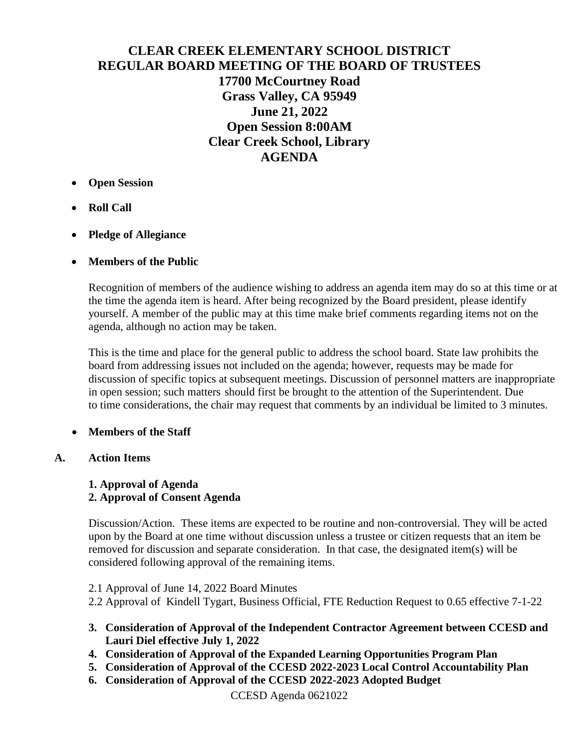# **CLEAR CREEK ELEMENTARY SCHOOL DISTRICT REGULAR BOARD MEETING OF THE BOARD OF TRUSTEES 17700 McCourtney Road Grass Valley, CA 95949 June 21, 2022 Open Session 8:00AM Clear Creek School, Library AGENDA**

- **Open Session**
- **Roll Call**
- **Pledge of Allegiance**

## **Members of the Public**

Recognition of members of the audience wishing to address an agenda item may do so at this time or at the time the agenda item is heard. After being recognized by the Board president, please identify yourself. A member of the public may at this time make brief comments regarding items not on the agenda, although no action may be taken.

This is the time and place for the general public to address the school board. State law prohibits the board from addressing issues not included on the agenda; however, requests may be made for discussion of specific topics at subsequent meetings. Discussion of personnel matters are inappropriate in open session; such matters should first be brought to the attention of the Superintendent. Due to time considerations, the chair may request that comments by an individual be limited to 3 minutes.

# **Members of the Staff**

**A. Action Items**

# **1. Approval of Agenda 2. Approval of Consent Agenda**

Discussion/Action. These items are expected to be routine and non-controversial. They will be acted upon by the Board at one time without discussion unless a trustee or citizen requests that an item be removed for discussion and separate consideration. In that case, the designated item(s) will be considered following approval of the remaining items.

- 2.1 Approval of June 14, 2022 Board Minutes
- 2.2 Approval of Kindell Tygart, Business Official, FTE Reduction Request to 0.65 effective 7-1-22
- **3. Consideration of Approval of the Independent Contractor Agreement between CCESD and Lauri Diel effective July 1, 2022**
- **4. Consideration of Approval of the Expanded Learning Opportunities Program Plan**
- **5. Consideration of Approval of the CCESD 2022-2023 Local Control Accountability Plan**
- **6. Consideration of Approval of the CCESD 2022-2023 Adopted Budget**